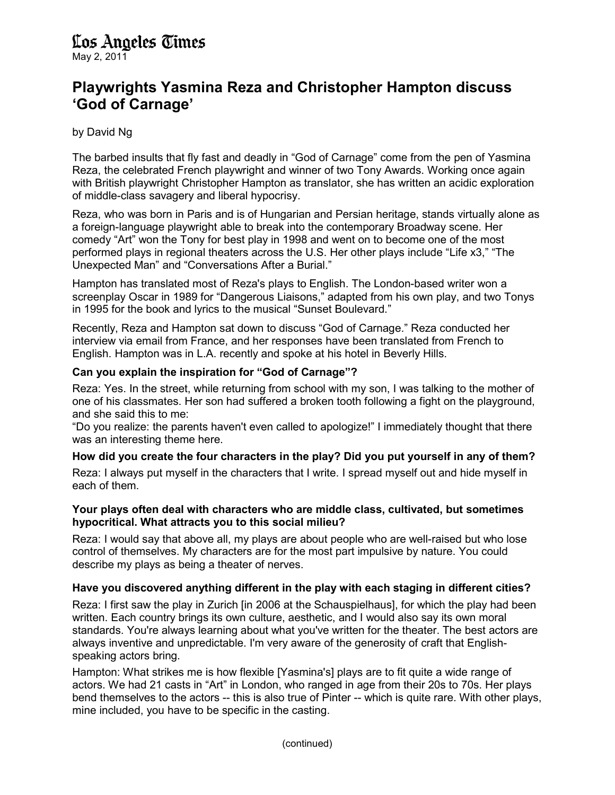# Los Angeles Times

May 2, 2011

## Playwrights Yasmina Reza and Christopher Hampton discuss 'God of Carnage'

### by David Ng

The barbed insults that fly fast and deadly in "God of Carnage" come from the pen of Yasmina Reza, the celebrated French playwright and winner of two Tony Awards. Working once again with British playwright Christopher Hampton as translator, she has written an acidic exploration of middle-class savagery and liberal hypocrisy.

Reza, who was born in Paris and is of Hungarian and Persian heritage, stands virtually alone as a foreign-language playwright able to break into the contemporary Broadway scene. Her comedy "Art" won the Tony for best play in 1998 and went on to become one of the most performed plays in regional theaters across the U.S. Her other plays include "Life x3," "The Unexpected Man" and "Conversations After a Burial."

Hampton has translated most of Reza's plays to English. The London-based writer won a screenplay Oscar in 1989 for "Dangerous Liaisons," adapted from his own play, and two Tonys in 1995 for the book and lyrics to the musical "Sunset Boulevard."

Recently, Reza and Hampton sat down to discuss "God of Carnage." Reza conducted her interview via email from France, and her responses have been translated from French to English. Hampton was in L.A. recently and spoke at his hotel in Beverly Hills.

#### Can you explain the inspiration for "God of Carnage"?

Reza: Yes. In the street, while returning from school with my son, I was talking to the mother of one of his classmates. Her son had suffered a broken tooth following a fight on the playground, and she said this to me:

"Do you realize: the parents haven't even called to apologize!" I immediately thought that there was an interesting theme here.

#### How did you create the four characters in the play? Did you put yourself in any of them?

Reza: I always put myself in the characters that I write. I spread myself out and hide myself in each of them.

#### Your plays often deal with characters who are middle class, cultivated, but sometimes hypocritical. What attracts you to this social milieu?

Reza: I would say that above all, my plays are about people who are well-raised but who lose control of themselves. My characters are for the most part impulsive by nature. You could describe my plays as being a theater of nerves.

#### Have you discovered anything different in the play with each staging in different cities?

Reza: I first saw the play in Zurich [in 2006 at the Schauspielhaus], for which the play had been written. Each country brings its own culture, aesthetic, and I would also say its own moral standards. You're always learning about what you've written for the theater. The best actors are always inventive and unpredictable. I'm very aware of the generosity of craft that Englishspeaking actors bring.

Hampton: What strikes me is how flexible [Yasmina's] plays are to fit quite a wide range of actors. We had 21 casts in "Art" in London, who ranged in age from their 20s to 70s. Her plays bend themselves to the actors -- this is also true of Pinter -- which is quite rare. With other plays, mine included, you have to be specific in the casting.